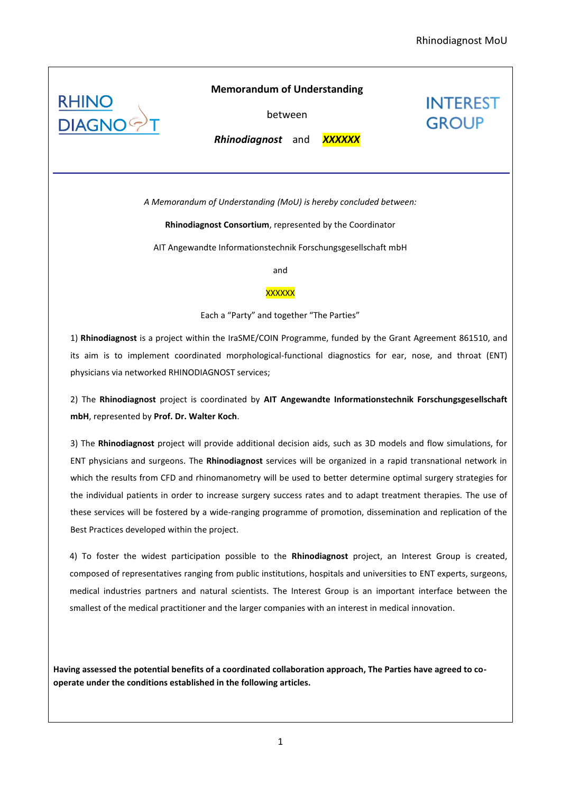**INTEREST** 

**GROUP** 



# **Memorandum of Understanding**

between

*Rhinodiagnost*and *XXXXXX*

*A Memorandum of Understanding (MoU) is hereby concluded between:*

**Rhinodiagnost Consortium**, represented by the Coordinator

AIT Angewandte Informationstechnik Forschungsgesellschaft mbH

and

### **XXXXXX**

#### Each a "Party" and together "The Parties"

1) **Rhinodiagnost** is a project within the IraSME/COIN Programme, funded by the Grant Agreement 861510, and its aim is to implement coordinated morphological-functional diagnostics for ear, nose, and throat (ENT) physicians via networked RHINODIAGNOST services;

2) The **Rhinodiagnost** project is coordinated by **AIT Angewandte Informationstechnik Forschungsgesellschaft mbH**, represented by **Prof. Dr. Walter Koch**.

3) The **Rhinodiagnost** project will provide additional decision aids, such as 3D models and flow simulations, for ENT physicians and surgeons. The **Rhinodiagnost** services will be organized in a rapid transnational network in which the results from CFD and rhinomanometry will be used to better determine optimal surgery strategies for the individual patients in order to increase surgery success rates and to adapt treatment therapies. The use of these services will be fostered by a wide-ranging programme of promotion, dissemination and replication of the Best Practices developed within the project.

4) To foster the widest participation possible to the **Rhinodiagnost** project, an Interest Group is created, composed of representatives ranging from public institutions, hospitals and universities to ENT experts, surgeons, medical industries partners and natural scientists. The Interest Group is an important interface between the smallest of the medical practitioner and the larger companies with an interest in medical innovation.

**Having assessed the potential benefits of a coordinated collaboration approach, The Parties have agreed to cooperate under the conditions established in the following articles.**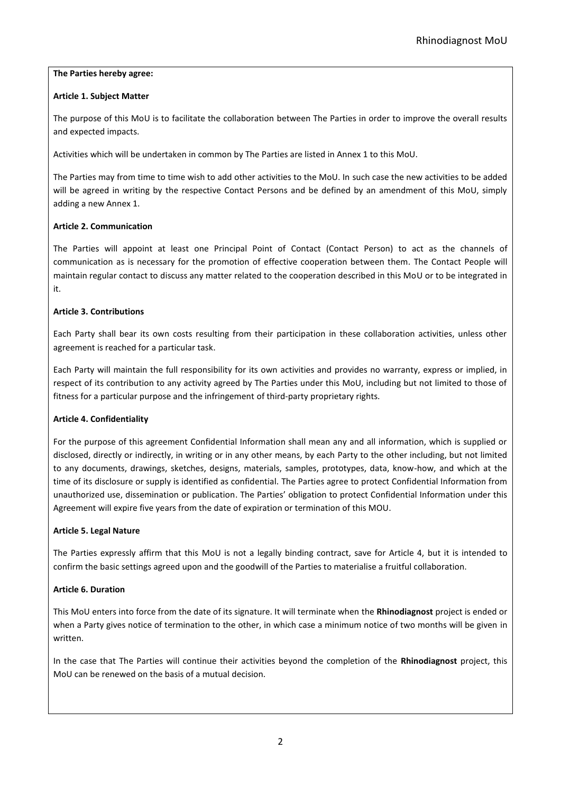# **The Parties hereby agree:**

# **Article 1. Subject Matter**

The purpose of this MoU is to facilitate the collaboration between The Parties in order to improve the overall results and expected impacts.

Activities which will be undertaken in common by The Parties are listed in Annex 1 to this MoU.

The Parties may from time to time wish to add other activities to the MoU. In such case the new activities to be added will be agreed in writing by the respective Contact Persons and be defined by an amendment of this MoU, simply adding a new Annex 1.

# **Article 2. Communication**

The Parties will appoint at least one Principal Point of Contact (Contact Person) to act as the channels of communication as is necessary for the promotion of effective cooperation between them. The Contact People will maintain regular contact to discuss any matter related to the cooperation described in this MoU or to be integrated in it.

# **Article 3. Contributions**

Each Party shall bear its own costs resulting from their participation in these collaboration activities, unless other agreement is reached for a particular task.

Each Party will maintain the full responsibility for its own activities and provides no warranty, express or implied, in respect of its contribution to any activity agreed by The Parties under this MoU, including but not limited to those of fitness for a particular purpose and the infringement of third-party proprietary rights.

## **Article 4. Confidentiality**

For the purpose of this agreement Confidential Information shall mean any and all information, which is supplied or disclosed, directly or indirectly, in writing or in any other means, by each Party to the other including, but not limited to any documents, drawings, sketches, designs, materials, samples, prototypes, data, know-how, and which at the time of its disclosure or supply is identified as confidential. The Parties agree to protect Confidential Information from unauthorized use, dissemination or publication. The Parties' obligation to protect Confidential Information under this Agreement will expire five years from the date of expiration or termination of this MOU.

## **Article 5. Legal Nature**

The Parties expressly affirm that this MoU is not a legally binding contract, save for Article 4, but it is intended to confirm the basic settings agreed upon and the goodwill of the Parties to materialise a fruitful collaboration.

## **Article 6. Duration**

This MoU enters into force from the date of its signature. It will terminate when the **Rhinodiagnost** project is ended or when a Party gives notice of termination to the other, in which case a minimum notice of two months will be given in written.

In the case that The Parties will continue their activities beyond the completion of the **Rhinodiagnost** project, this MoU can be renewed on the basis of a mutual decision.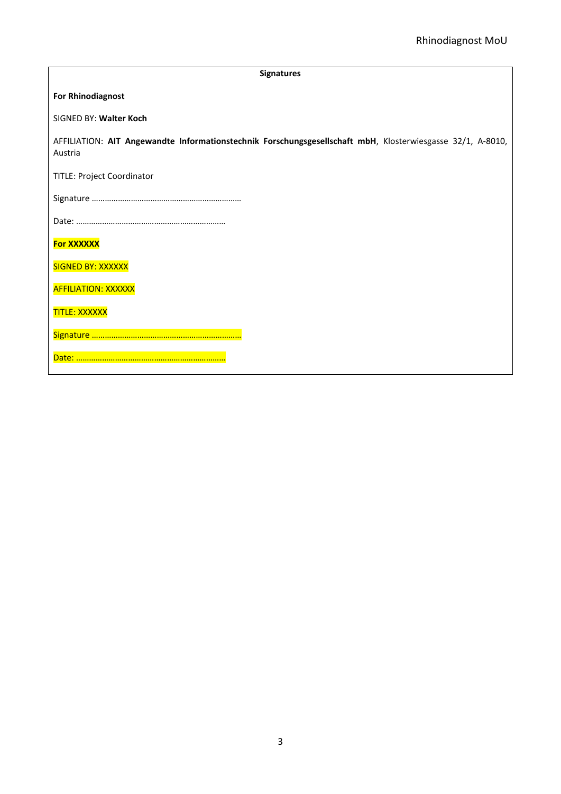| <b>Signatures</b>                                                                                                     |
|-----------------------------------------------------------------------------------------------------------------------|
| <b>For Rhinodiagnost</b>                                                                                              |
| SIGNED BY: Walter Koch                                                                                                |
| AFFILIATION: AIT Angewandte Informationstechnik Forschungsgesellschaft mbH, Klosterwiesgasse 32/1, A-8010,<br>Austria |
| TITLE: Project Coordinator                                                                                            |
|                                                                                                                       |
|                                                                                                                       |
| <b>For XXXXXX</b>                                                                                                     |
| <b>SIGNED BY: XXXXXX</b>                                                                                              |
| <b>AFFILIATION: XXXXXX</b>                                                                                            |
| <b>TITLE: XXXXXX</b>                                                                                                  |
|                                                                                                                       |
|                                                                                                                       |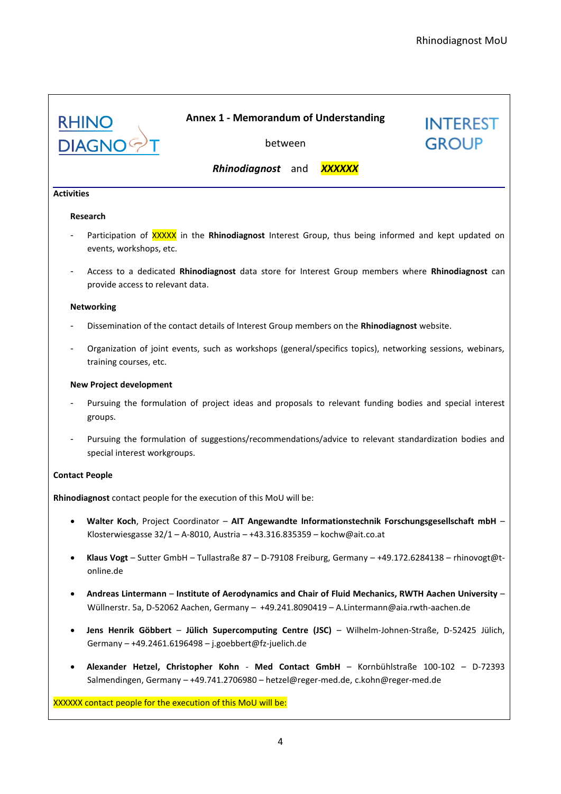**INTEREST** 

**GROUP** 



## **Annex 1 - Memorandum of Understanding**

between

*Rhinodiagnost* and *XXXXXX*

#### **Activities**

#### **Research**

- Participation of XXXXX in the **Rhinodiagnost** Interest Group, thus being informed and kept updated on events, workshops, etc.
- Access to a dedicated **Rhinodiagnost** data store for Interest Group members where **Rhinodiagnost** can provide access to relevant data.

#### **Networking**

- Dissemination of the contact details of Interest Group members on the **Rhinodiagnost** website.
- Organization of joint events, such as workshops (general/specifics topics), networking sessions, webinars, training courses, etc.

#### **New Project development**

- Pursuing the formulation of project ideas and proposals to relevant funding bodies and special interest groups.
- Pursuing the formulation of suggestions/recommendations/advice to relevant standardization bodies and special interest workgroups.

#### **Contact People**

**Rhinodiagnost** contact people for the execution of this MoU will be:

- **Walter Koch**, Project Coordinator **AIT Angewandte Informationstechnik Forschungsgesellschaft mbH** Klosterwiesgasse 32/1 – A-8010, Austria – +43.316.835359 – kochw@ait.co.at
- **Klaus Vogt** Sutter GmbH Tullastraße 87 D-79108 Freiburg, Germany +49.172.6284138 rhinovogt@tonline.de
- **Andreas Lintermann Institute of Aerodynamics and Chair of Fluid Mechanics, RWTH Aachen University**  Wüllnerstr. 5a, D-52062 Aachen, Germany – +49.241.8090419 – A.Lintermann@aia.rwth-aachen.de
- **Jens Henrik Göbbert Jülich Supercomputing Centre (JSC)**  Wilhelm-Johnen-Straße, D-52425 Jülich, Germany – +49.2461.6196498 – j.goebbert@fz-juelich.de
- **Alexander Hetzel, Christopher Kohn Med Contact GmbH** Kornbühlstraße 100-102 D-72393 Salmendingen, Germany – +49.741.2706980 – hetzel@reger-med.de, c.kohn@reger-med.de

XXXXXX contact people for the execution of this MoU will be: